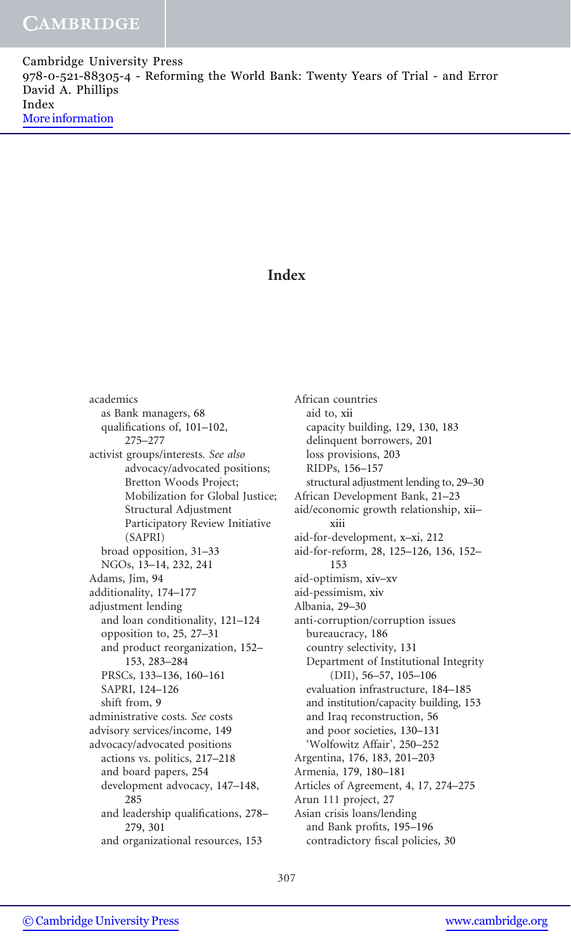Cambridge University Press 978-0-521-88305-4 - Reforming the World Bank: Twenty Years of Trial - and Error David A. Phillips Index [More information](http://www.cambridge.org/9780521883054)

## Index

academics as Bank managers, 68 qualifications of, 101–102, 275–277 activist groups/interests. See also advocacy/advocated positions; Bretton Woods Project; Mobilization for Global Justice; Structural Adjustment Participatory Review Initiative (SAPRI) broad opposition, 31–33 NGOs, 13–14, 232, 241 Adams, Jim, 94 additionality, 174–177 adjustment lending and loan conditionality, 121–124 opposition to, 25, 27–31 and product reorganization, 152– 153, 283–284 PRSCs, 133–136, 160–161 SAPRI, 124–126 shift from, 9 administrative costs. See costs advisory services/income, 149 advocacy/advocated positions actions vs. politics, 217–218 and board papers, 254 development advocacy, 147–148, 285 and leadership qualifications, 278– 279, 301 and organizational resources, 153

African countries aid to, xii capacity building, 129, 130, 183 delinquent borrowers, 201 loss provisions, 203 RIDPs, 156–157 structural adjustment lending to, 29–30 African Development Bank, 21–23 aid/economic growth relationship, xii– xiii aid-for-development, x–xi, 212 aid-for-reform, 28, 125–126, 136, 152– 153 aid-optimism, xiv–xv aid-pessimism, xiv Albania, 29–30 anti-corruption/corruption issues bureaucracy, 186 country selectivity, 131 Department of Institutional Integrity (DII), 56–57, 105–106 evaluation infrastructure, 184–185 and institution/capacity building, 153 and Iraq reconstruction, 56 and poor societies, 130–131 'Wolfowitz Affair', 250–252 Argentina, 176, 183, 201–203 Armenia, 179, 180–181 Articles of Agreement, 4, 17, 274–275 Arun 111 project, 27 Asian crisis loans/lending and Bank profits, 195–196 contradictory fiscal policies, 30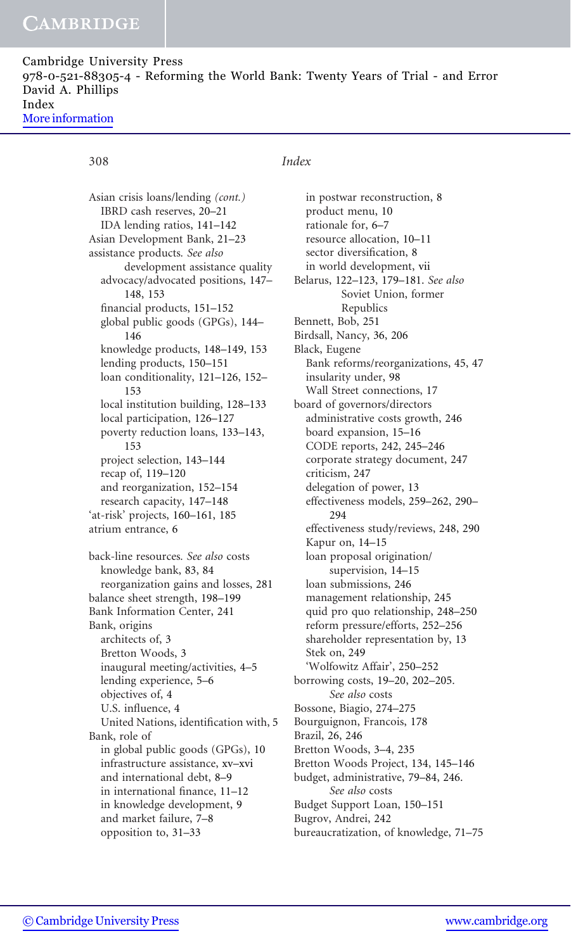Cambridge University Press 978-0-521-88305-4 - Reforming the World Bank: Twenty Years of Trial - and Error David A. Phillips Index [More information](http://www.cambridge.org/9780521883054)

## Asian crisis loans/lending (cont.) IBRD cash reserves, 20–21 IDA lending ratios, 141–142 Asian Development Bank, 21–23 assistance products. See also development assistance quality advocacy/advocated positions, 147– 148, 153 financial products, 151–152 global public goods (GPGs), 144– 146 knowledge products, 148–149, 153 lending products, 150–151 loan conditionality, 121–126, 152– 153 local institution building, 128–133 local participation, 126–127 poverty reduction loans, 133–143, 153 project selection, 143–144 recap of, 119–120 and reorganization, 152–154 research capacity, 147–148 'at-risk' projects, 160–161, 185 atrium entrance, 6 back-line resources. See also costs knowledge bank, 83, 84 reorganization gains and losses, 281 balance sheet strength, 198–199 Bank Information Center, 241 Bank, origins architects of, 3 Bretton Woods, 3 inaugural meeting/activities, 4–5 lending experience, 5–6 objectives of, 4 U.S. influence, 4 United Nations, identification with, 5 Bank, role of in global public goods (GPGs), 10 infrastructure assistance, xv–xvi and international debt, 8–9 in international finance, 11–12 in knowledge development, 9 and market failure, 7–8 opposition to, 31–33

## 308 Index

in postwar reconstruction, 8 product menu, 10 rationale for, 6–7 resource allocation, 10–11 sector diversification, 8 in world development, vii Belarus, 122–123, 179–181. See also Soviet Union, former Republics Bennett, Bob, 251 Birdsall, Nancy, 36, 206 Black, Eugene Bank reforms/reorganizations, 45, 47 insularity under, 98 Wall Street connections, 17 board of governors/directors administrative costs growth, 246 board expansion, 15–16 CODE reports, 242, 245–246 corporate strategy document, 247 criticism, 247 delegation of power, 13 effectiveness models, 259–262, 290– 294 effectiveness study/reviews, 248, 290 Kapur on, 14–15 loan proposal origination/ supervision, 14–15 loan submissions, 246 management relationship, 245 quid pro quo relationship, 248–250 reform pressure/efforts, 252–256 shareholder representation by, 13 Stek on, 249 'Wolfowitz Affair', 250–252 borrowing costs, 19–20, 202–205. See also costs Bossone, Biagio, 274–275 Bourguignon, Francois, 178 Brazil, 26, 246 Bretton Woods, 3–4, 235 Bretton Woods Project, 134, 145–146 budget, administrative, 79–84, 246. See also costs Budget Support Loan, 150–151 Bugrov, Andrei, 242 bureaucratization, of knowledge, 71–75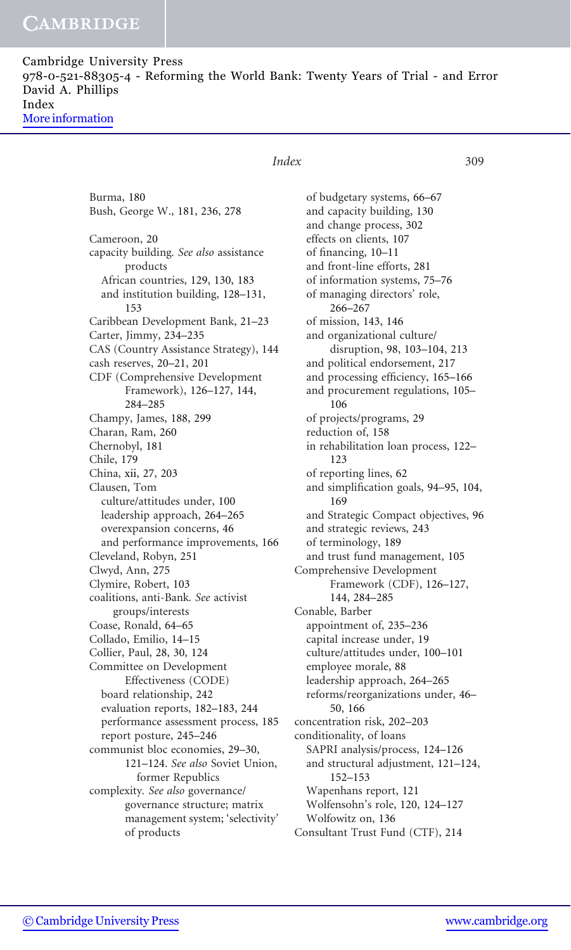| Cambridge University Press |                                                                                 |
|----------------------------|---------------------------------------------------------------------------------|
|                            | 978-0-521-88305-4 - Reforming the World Bank: Twenty Years of Trial - and Error |
| David A. Phillips          |                                                                                 |
| Index                      |                                                                                 |
| More information           |                                                                                 |

Burma, 180 Bush, George W., 181, 236, 278 Cameroon, 20 capacity building. See also assistance products African countries, 129, 130, 183 and institution building, 128–131, 153 Caribbean Development Bank, 21–23 Carter, Jimmy, 234–235 CAS (Country Assistance Strategy), 144 cash reserves, 20–21, 201 CDF (Comprehensive Development Framework), 126–127, 144, 284–285 Champy, James, 188, 299 Charan, Ram, 260 Chernobyl, 181 Chile, 179 China, xii, 27, 203 Clausen, Tom culture/attitudes under, 100 leadership approach, 264–265 overexpansion concerns, 46 and performance improvements, 166 Cleveland, Robyn, 251 Clwyd, Ann, 275 Clymire, Robert, 103 coalitions, anti-Bank. See activist groups/interests Coase, Ronald, 64–65 Collado, Emilio, 14–15 Collier, Paul, 28, 30, 124 Committee on Development Effectiveness (CODE) board relationship, 242 evaluation reports, 182–183, 244 performance assessment process, 185 report posture, 245–246 communist bloc economies, 29–30, 121–124. See also Soviet Union, former Republics complexity. See also governance/ governance structure; matrix management system; 'selectivity' of products

## Index 309

of budgetary systems, 66–67 and capacity building, 130 and change process, 302 effects on clients, 107 of financing, 10–11 and front-line efforts, 281 of information systems, 75–76 of managing directors' role, 266–267 of mission, 143, 146 and organizational culture/ disruption, 98, 103–104, 213 and political endorsement, 217 and processing efficiency, 165–166 and procurement regulations, 105– 106 of projects/programs, 29 reduction of, 158 in rehabilitation loan process, 122– 123 of reporting lines, 62 and simplification goals, 94–95, 104, 169 and Strategic Compact objectives, 96 and strategic reviews, 243 of terminology, 189 and trust fund management, 105 Comprehensive Development Framework (CDF), 126–127, 144, 284–285 Conable, Barber appointment of, 235–236 capital increase under, 19 culture/attitudes under, 100–101 employee morale, 88 leadership approach, 264–265 reforms/reorganizations under, 46– 50, 166 concentration risk, 202–203 conditionality, of loans SAPRI analysis/process, 124–126 and structural adjustment, 121–124, 152–153 Wapenhans report, 121 Wolfensohn's role, 120, 124–127 Wolfowitz on, 136 Consultant Trust Fund (CTF), 214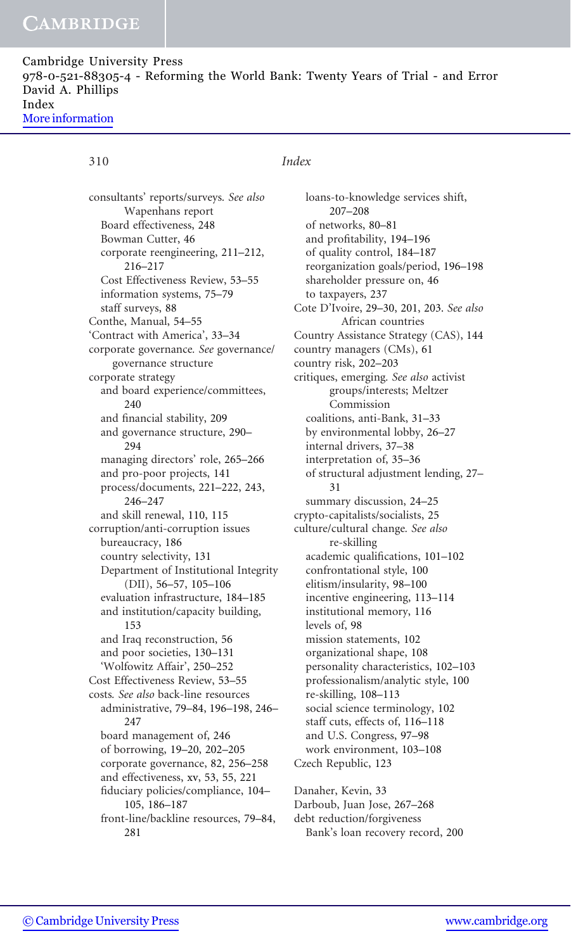Cambridge University Press 978-0-521-88305-4 - Reforming the World Bank: Twenty Years of Trial - and Error David A. Phillips Index [More information](http://www.cambridge.org/9780521883054)

consultants' reports/surveys. See also Wapenhans report Board effectiveness, 248 Bowman Cutter, 46 corporate reengineering, 211–212, 216–217 Cost Effectiveness Review, 53–55 information systems, 75–79 staff surveys, 88 Conthe, Manual, 54–55 'Contract with America', 33–34 corporate governance. See governance/ governance structure corporate strategy and board experience/committees, 240 and financial stability, 209 and governance structure, 290– 294 managing directors' role, 265–266 and pro-poor projects, 141 process/documents, 221–222, 243, 246–247 and skill renewal, 110, 115 corruption/anti-corruption issues bureaucracy, 186 country selectivity, 131 Department of Institutional Integrity (DII), 56–57, 105–106 evaluation infrastructure, 184–185 and institution/capacity building, 153 and Iraq reconstruction, 56 and poor societies, 130–131 'Wolfowitz Affair', 250–252 Cost Effectiveness Review, 53–55 costs. See also back-line resources administrative, 79–84, 196–198, 246– 247 board management of, 246 of borrowing, 19–20, 202–205 corporate governance, 82, 256–258 and effectiveness, xv, 53, 55, 221 fiduciary policies/compliance, 104– 105, 186–187 front-line/backline resources, 79–84, 281

## 310 Index

loans-to-knowledge services shift, 207–208 of networks, 80–81 and profitability, 194–196 of quality control, 184–187 reorganization goals/period, 196–198 shareholder pressure on, 46 to taxpayers, 237 Cote D'Ivoire, 29–30, 201, 203. See also African countries Country Assistance Strategy (CAS), 144 country managers (CMs), 61 country risk, 202–203 critiques, emerging. See also activist groups/interests; Meltzer Commission coalitions, anti-Bank, 31–33 by environmental lobby, 26–27 internal drivers, 37–38 interpretation of, 35–36 of structural adjustment lending, 27– 31 summary discussion, 24–25 crypto-capitalists/socialists, 25 culture/cultural change. See also re-skilling academic qualifications, 101–102 confrontational style, 100 elitism/insularity, 98–100 incentive engineering, 113–114 institutional memory, 116 levels of, 98 mission statements, 102 organizational shape, 108 personality characteristics, 102–103 professionalism/analytic style, 100 re-skilling, 108–113 social science terminology, 102 staff cuts, effects of, 116–118 and U.S. Congress, 97–98 work environment, 103–108 Czech Republic, 123 Danaher, Kevin, 33 Darboub, Juan Jose, 267–268

debt reduction/forgiveness Bank's loan recovery record, 200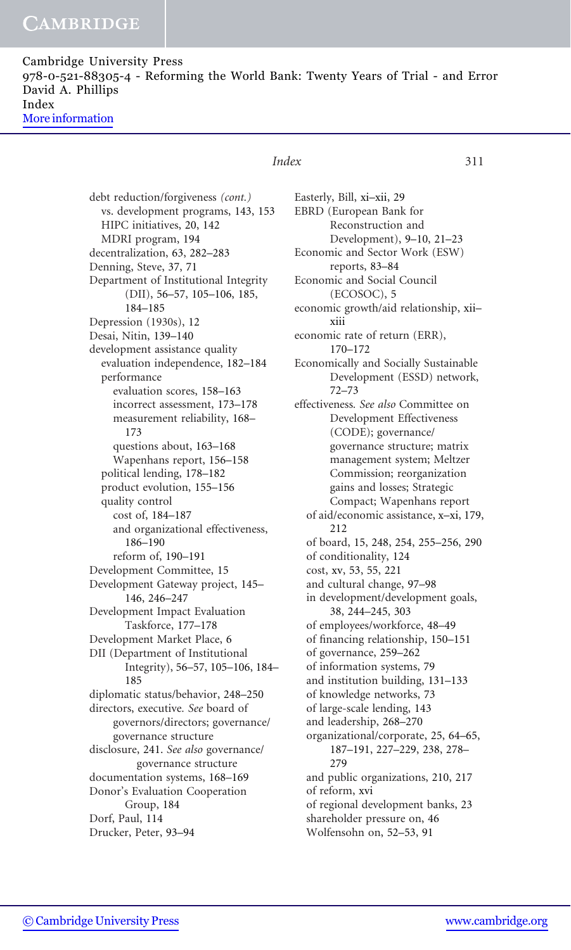Cambridge University Press 978-0-521-88305-4 - Reforming the World Bank: Twenty Years of Trial - and Error David A. Phillips Index [More information](http://www.cambridge.org/9780521883054)

## Index 311

debt reduction/forgiveness (cont.) vs. development programs, 143, 153 HIPC initiatives, 20, 142 MDRI program, 194 decentralization, 63, 282–283 Denning, Steve, 37, 71 Department of Institutional Integrity (DII), 56–57, 105–106, 185, 184–185 Depression (1930s), 12 Desai, Nitin, 139–140 development assistance quality evaluation independence, 182–184 performance evaluation scores, 158–163 incorrect assessment, 173–178 measurement reliability, 168– 173 questions about, 163–168 Wapenhans report, 156–158 political lending, 178–182 product evolution, 155–156 quality control cost of, 184–187 and organizational effectiveness, 186–190 reform of, 190–191 Development Committee, 15 Development Gateway project, 145– 146, 246–247 Development Impact Evaluation Taskforce, 177–178 Development Market Place, 6 DII (Department of Institutional Integrity), 56–57, 105–106, 184– 185 diplomatic status/behavior, 248–250 directors, executive. See board of governors/directors; governance/ governance structure disclosure, 241. See also governance/ governance structure documentation systems, 168–169 Donor's Evaluation Cooperation Group, 184 Dorf, Paul, 114 Drucker, Peter, 93–94

Easterly, Bill, xi–xii, 29 EBRD (European Bank for Reconstruction and Development), 9–10, 21–23 Economic and Sector Work (ESW) reports, 83–84 Economic and Social Council (ECOSOC), 5 economic growth/aid relationship, xii– xiii economic rate of return (ERR), 170–172 Economically and Socially Sustainable Development (ESSD) network, 72–73 effectiveness. See also Committee on Development Effectiveness (CODE); governance/ governance structure; matrix management system; Meltzer Commission; reorganization gains and losses; Strategic Compact; Wapenhans report of aid/economic assistance, x–xi, 179, 212 of board, 15, 248, 254, 255–256, 290 of conditionality, 124 cost, xv, 53, 55, 221 and cultural change, 97–98 in development/development goals, 38, 244–245, 303 of employees/workforce, 48–49 of financing relationship, 150–151 of governance, 259–262 of information systems, 79 and institution building, 131–133 of knowledge networks, 73 of large-scale lending, 143 and leadership, 268–270 organizational/corporate, 25, 64–65, 187–191, 227–229, 238, 278– 279 and public organizations, 210, 217 of reform, xvi of regional development banks, 23 shareholder pressure on, 46 Wolfensohn on, 52–53, 91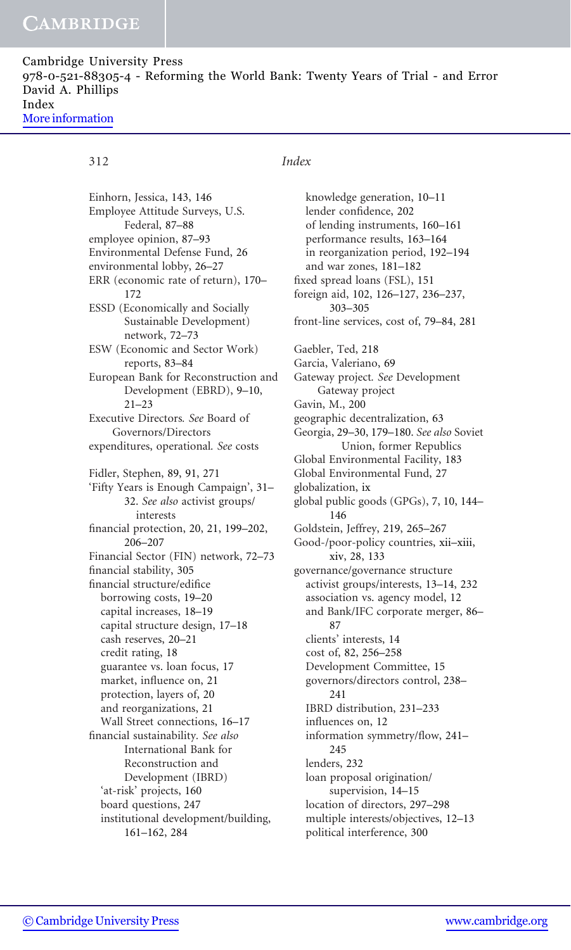Cambridge University Press 978-0-521-88305-4 - Reforming the World Bank: Twenty Years of Trial - and Error David A. Phillips Index [More information](http://www.cambridge.org/9780521883054)

Einhorn, Jessica, 143, 146 Employee Attitude Surveys, U.S. Federal, 87–88 employee opinion, 87–93 Environmental Defense Fund, 26 environmental lobby, 26–27 ERR (economic rate of return), 170– 172 ESSD (Economically and Socially Sustainable Development) network, 72–73 ESW (Economic and Sector Work) reports, 83–84 European Bank for Reconstruction and Development (EBRD), 9–10, 21–23 Executive Directors. See Board of Governors/Directors expenditures, operational. See costs Fidler, Stephen, 89, 91, 271 'Fifty Years is Enough Campaign', 31– 32. See also activist groups/ interests financial protection, 20, 21, 199–202, 206–207 Financial Sector (FIN) network, 72–73 financial stability, 305 financial structure/edifice borrowing costs, 19–20 capital increases, 18–19 capital structure design, 17–18 cash reserves, 20–21 credit rating, 18 guarantee vs. loan focus, 17 market, influence on, 21 protection, layers of, 20 and reorganizations, 21 Wall Street connections, 16–17 financial sustainability. See also International Bank for Reconstruction and Development (IBRD) 'at-risk' projects, 160 board questions, 247 institutional development/building, 161–162, 284

## 312 Index

knowledge generation, 10–11 lender confidence, 202 of lending instruments, 160–161 performance results, 163–164 in reorganization period, 192–194 and war zones, 181–182 fixed spread loans (FSL), 151 foreign aid, 102, 126–127, 236–237, 303–305 front-line services, cost of, 79–84, 281 Gaebler, Ted, 218 Garcia, Valeriano, 69 Gateway project. See Development Gateway project Gavin, M., 200 geographic decentralization, 63 Georgia, 29–30, 179–180. See also Soviet Union, former Republics Global Environmental Facility, 183 Global Environmental Fund, 27 globalization, ix global public goods (GPGs), 7, 10, 144– 146 Goldstein, Jeffrey, 219, 265–267 Good-/poor-policy countries, xii–xiii, xiv, 28, 133 governance/governance structure activist groups/interests, 13–14, 232 association vs. agency model, 12 and Bank/IFC corporate merger, 86– 87 clients' interests, 14 cost of, 82, 256–258 Development Committee, 15 governors/directors control, 238– 241 IBRD distribution, 231–233 influences on, 12 information symmetry/flow, 241– 245 lenders, 232 loan proposal origination/ supervision, 14–15 location of directors, 297–298 multiple interests/objectives, 12–13 political interference, 300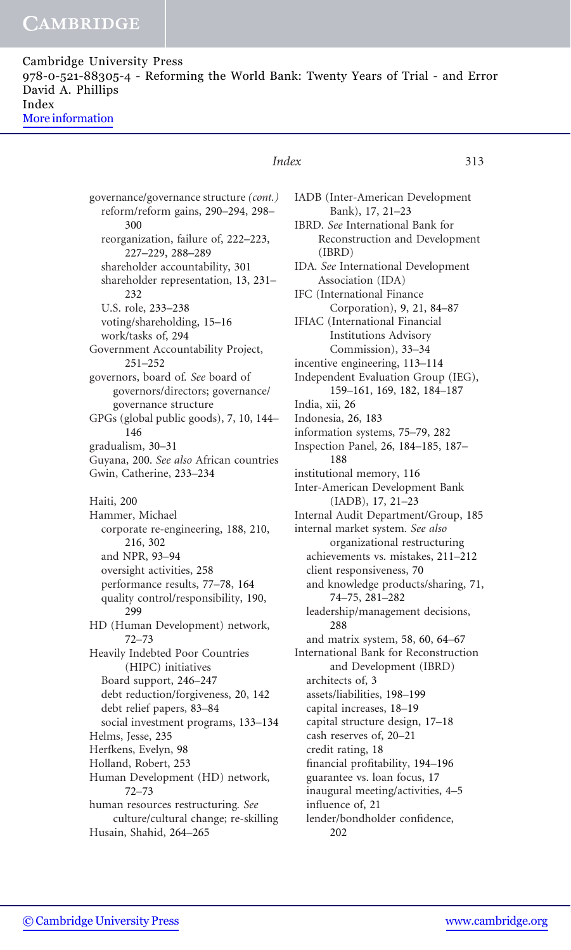Cambridge University Press 978-0-521-88305-4 - Reforming the World Bank: Twenty Years of Trial - and Error David A. Phillips Index [More information](http://www.cambridge.org/9780521883054)

## Index 313

governance/governance structure (cont.) reform/reform gains, 290–294, 298– 300 reorganization, failure of, 222–223, 227–229, 288–289 shareholder accountability, 301 shareholder representation, 13, 231– 232 U.S. role, 233–238 voting/shareholding, 15–16 work/tasks of, 294 Government Accountability Project, 251–252 governors, board of. See board of governors/directors; governance/ governance structure GPGs (global public goods), 7, 10, 144– 146 gradualism, 30–31 Guyana, 200. See also African countries Gwin, Catherine, 233–234 Haiti, 200 Hammer, Michael corporate re-engineering, 188, 210, 216, 302 and NPR, 93–94 oversight activities, 258 performance results, 77–78, 164 quality control/responsibility, 190, 299 HD (Human Development) network, 72–73 Heavily Indebted Poor Countries (HIPC) initiatives Board support, 246–247 debt reduction/forgiveness, 20, 142 debt relief papers, 83–84 social investment programs, 133–134 Helms, Jesse, 235 Herfkens, Evelyn, 98 Holland, Robert, 253 Human Development (HD) network, 72–73 human resources restructuring. See culture/cultural change; re-skilling Husain, Shahid, 264–265

IADB (Inter-American Development Bank), 17, 21–23 IBRD. See International Bank for Reconstruction and Development (IBRD) IDA. See International Development Association (IDA) IFC (International Finance Corporation), 9, 21, 84–87 IFIAC (International Financial Institutions Advisory Commission), 33–34 incentive engineering, 113–114 Independent Evaluation Group (IEG), 159–161, 169, 182, 184–187 India, xii, 26 Indonesia, 26, 183 information systems, 75–79, 282 Inspection Panel, 26, 184–185, 187– 188 institutional memory, 116 Inter-American Development Bank (IADB), 17, 21–23 Internal Audit Department/Group, 185 internal market system. See also organizational restructuring achievements vs. mistakes, 211–212 client responsiveness, 70 and knowledge products/sharing, 71, 74–75, 281–282 leadership/management decisions, 288 and matrix system, 58, 60, 64–67 International Bank for Reconstruction and Development (IBRD) architects of, 3 assets/liabilities, 198–199 capital increases, 18–19 capital structure design, 17–18 cash reserves of, 20–21 credit rating, 18 financial profitability, 194–196 guarantee vs. loan focus, 17 inaugural meeting/activities, 4–5 influence of, 21 lender/bondholder confidence, 202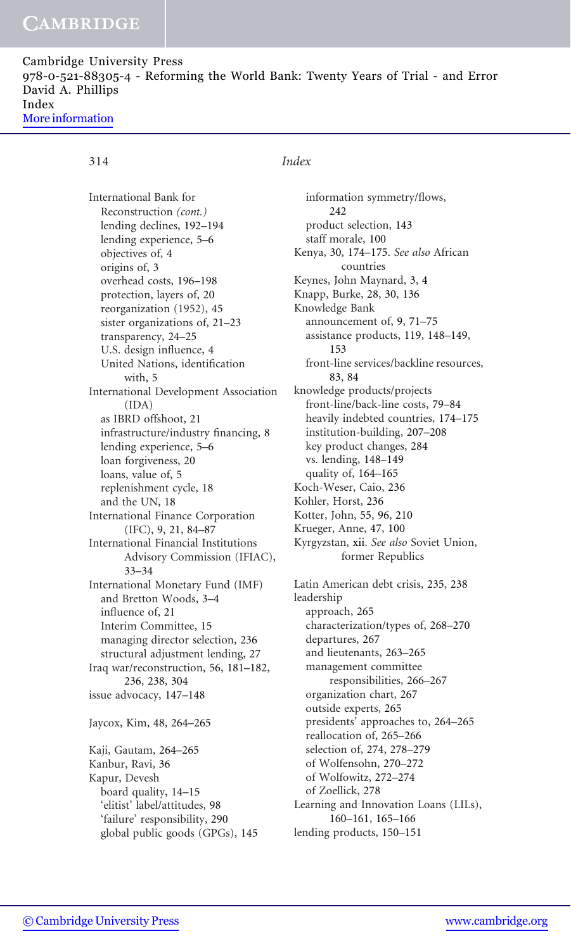Cambridge University Press 978-0-521-88305-4 - Reforming the World Bank: Twenty Years of Trial - and Error David A. Phillips Index [More information](http://www.cambridge.org/9780521883054)

International Bank for Reconstruction (cont.) lending declines, 192–194 lending experience, 5–6 objectives of, 4 origins of, 3 overhead costs, 196–198 protection, layers of, 20 reorganization (1952), 45 sister organizations of, 21–23 transparency, 24–25 U.S. design influence, 4 United Nations, identification with, 5 International Development Association (IDA) as IBRD offshoot, 21 infrastructure/industry financing, 8 lending experience, 5–6 loan forgiveness, 20 loans, value of, 5 replenishment cycle, 18 and the UN, 18 International Finance Corporation (IFC), 9, 21, 84–87 International Financial Institutions Advisory Commission (IFIAC), 33–34 International Monetary Fund (IMF) and Bretton Woods, 3–4 influence of, 21 Interim Committee, 15 managing director selection, 236 structural adjustment lending, 27 Iraq war/reconstruction, 56, 181–182, 236, 238, 304 issue advocacy, 147–148 Jaycox, Kim, 48, 264–265 Kaji, Gautam, 264–265 Kanbur, Ravi, 36 Kapur, Devesh board quality, 14–15 'elitist' label/attitudes, 98 'failure' responsibility, 290 global public goods (GPGs), 145

## 314 Index

information symmetry/flows, 242 product selection, 143 staff morale, 100 Kenya, 30, 174–175. See also African countries Keynes, John Maynard, 3, 4 Knapp, Burke, 28, 30, 136 Knowledge Bank announcement of, 9, 71–75 assistance products, 119, 148–149, 153 front-line services/backline resources, 83, 84 knowledge products/projects front-line/back-line costs, 79–84 heavily indebted countries, 174–175 institution-building, 207–208 key product changes, 284 vs. lending, 148–149 quality of, 164–165 Koch-Weser, Caio, 236 Kohler, Horst, 236 Kotter, John, 55, 96, 210 Krueger, Anne, 47, 100 Kyrgyzstan, xii. See also Soviet Union, former Republics Latin American debt crisis, 235, 238 leadership approach, 265 characterization/types of, 268–270

departures, 267 and lieutenants, 263–265 management committee responsibilities, 266–267 organization chart, 267 outside experts, 265 presidents' approaches to, 264–265 reallocation of, 265–266 selection of, 274, 278–279 of Wolfensohn, 270–272 of Wolfowitz, 272–274 of Zoellick, 278 Learning and Innovation Loans (LILs), 160–161, 165–166 lending products, 150–151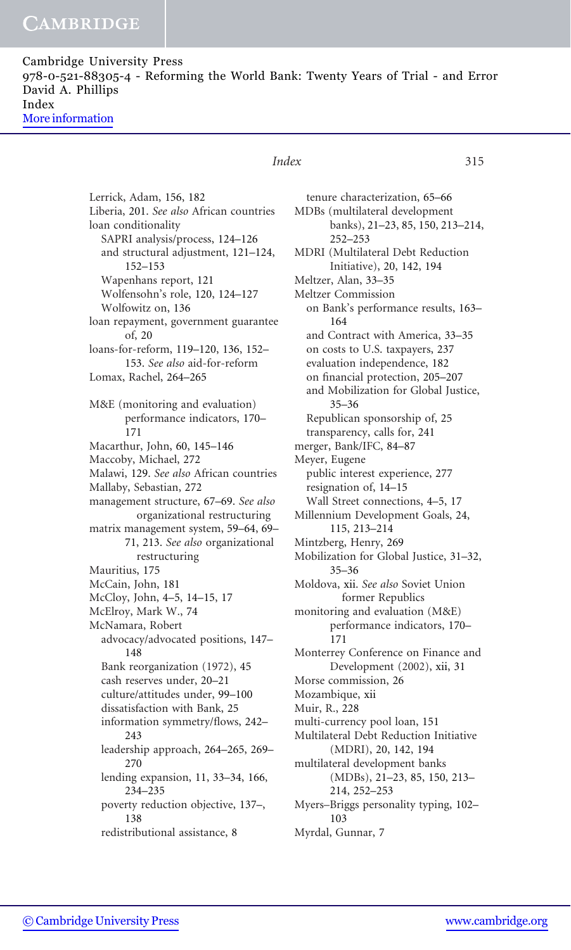| Cambridge University Press                                                      |  |
|---------------------------------------------------------------------------------|--|
| 978-0-521-88305-4 - Reforming the World Bank: Twenty Years of Trial - and Error |  |
| David A. Phillips                                                               |  |
| Index                                                                           |  |
| More information                                                                |  |

## Lerrick, Adam, 156, 182 Liberia, 201. See also African countries loan conditionality SAPRI analysis/process, 124–126 and structural adjustment, 121–124, 152–153 Wapenhans report, 121 Wolfensohn's role, 120, 124–127 Wolfowitz on, 136 loan repayment, government guarantee of, 20 loans-for-reform, 119–120, 136, 152– 153. See also aid-for-reform Lomax, Rachel, 264–265 M&E (monitoring and evaluation) performance indicators, 170– 171 Macarthur, John, 60, 145–146 Maccoby, Michael, 272 Malawi, 129. See also African countries Mallaby, Sebastian, 272 management structure, 67–69. See also organizational restructuring matrix management system, 59–64, 69– 71, 213. See also organizational restructuring Mauritius, 175 McCain, John, 181 McCloy, John, 4–5, 14–15, 17 McElroy, Mark W., 74 McNamara, Robert advocacy/advocated positions, 147– 148 Bank reorganization (1972), 45 cash reserves under, 20–21 culture/attitudes under, 99–100 dissatisfaction with Bank, 25 information symmetry/flows, 242– 243 leadership approach, 264–265, 269– 270 lending expansion, 11, 33–34, 166, 234–235 poverty reduction objective, 137–, 138 redistributional assistance, 8

### Index 315

tenure characterization, 65–66 MDBs (multilateral development banks), 21–23, 85, 150, 213–214, 252–253 MDRI (Multilateral Debt Reduction Initiative), 20, 142, 194 Meltzer, Alan, 33–35 Meltzer Commission on Bank's performance results, 163– 164 and Contract with America, 33–35 on costs to U.S. taxpayers, 237 evaluation independence, 182 on financial protection, 205–207 and Mobilization for Global Justice, 35–36 Republican sponsorship of, 25 transparency, calls for, 241 merger, Bank/IFC, 84–87 Meyer, Eugene public interest experience, 277 resignation of, 14–15 Wall Street connections, 4–5, 17 Millennium Development Goals, 24, 115, 213–214 Mintzberg, Henry, 269 Mobilization for Global Justice, 31–32, 35–36 Moldova, xii. See also Soviet Union former Republics monitoring and evaluation (M&E) performance indicators, 170– 171 Monterrey Conference on Finance and Development (2002), xii, 31 Morse commission, 26 Mozambique, xii Muir, R., 228 multi-currency pool loan, 151 Multilateral Debt Reduction Initiative (MDRI), 20, 142, 194 multilateral development banks (MDBs), 21–23, 85, 150, 213– 214, 252–253 Myers–Briggs personality typing, 102– 103 Myrdal, Gunnar, 7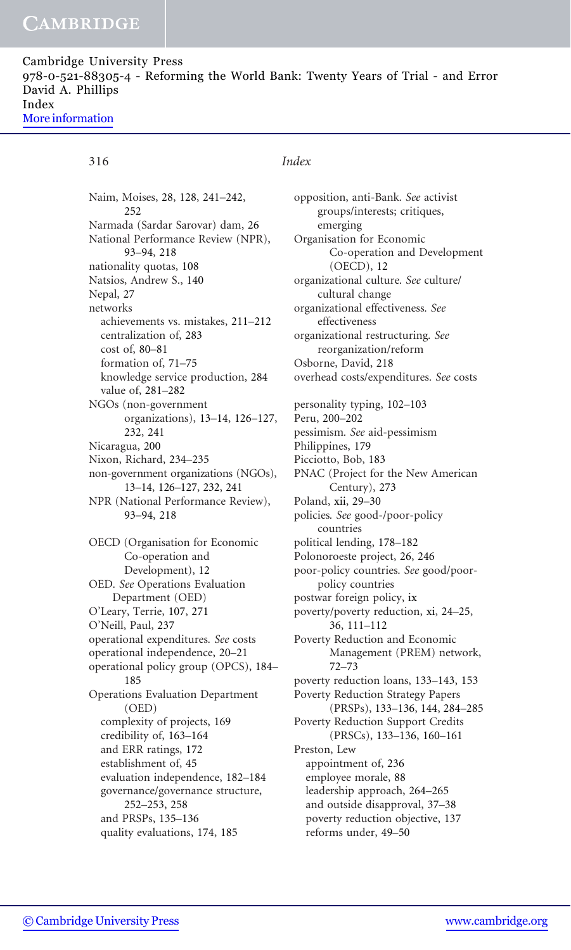Cambridge University Press 978-0-521-88305-4 - Reforming the World Bank: Twenty Years of Trial - and Error David A. Phillips Index [More information](http://www.cambridge.org/9780521883054)

Naim, Moises, 28, 128, 241–242, 252 Narmada (Sardar Sarovar) dam, 26 National Performance Review (NPR), 93–94, 218 nationality quotas, 108 Natsios, Andrew S., 140 Nepal, 27 networks achievements vs. mistakes, 211–212 centralization of, 283 cost of, 80–81 formation of, 71–75 knowledge service production, 284 value of, 281–282 NGOs (non-government organizations), 13–14, 126–127, 232, 241 Nicaragua, 200 Nixon, Richard, 234–235 non-government organizations (NGOs), 13–14, 126–127, 232, 241 NPR (National Performance Review), 93–94, 218 OECD (Organisation for Economic Co-operation and Development), 12 OED. See Operations Evaluation Department (OED) O'Leary, Terrie, 107, 271 O'Neill, Paul, 237 operational expenditures. See costs operational independence, 20–21 operational policy group (OPCS), 184– 185 Operations Evaluation Department (OED) complexity of projects, 169 credibility of, 163–164 and ERR ratings, 172 establishment of, 45 evaluation independence, 182–184 governance/governance structure, 252–253, 258 and PRSPs, 135–136 quality evaluations, 174, 185

## 316 Index

opposition, anti-Bank. See activist groups/interests; critiques, emerging Organisation for Economic Co-operation and Development (OECD), 12 organizational culture. See culture/ cultural change organizational effectiveness. See effectiveness organizational restructuring. See reorganization/reform Osborne, David, 218 overhead costs/expenditures. See costs personality typing, 102–103 Peru, 200–202 pessimism. See aid-pessimism Philippines, 179 Picciotto, Bob, 183 PNAC (Project for the New American Century), 273 Poland, xii, 29–30 policies. See good-/poor-policy countries political lending, 178–182 Polonoroeste project, 26, 246 poor-policy countries. See good/poorpolicy countries postwar foreign policy, ix poverty/poverty reduction, xi, 24–25, 36, 111–112 Poverty Reduction and Economic Management (PREM) network, 72–73 poverty reduction loans, 133–143, 153 Poverty Reduction Strategy Papers (PRSPs), 133–136, 144, 284–285 Poverty Reduction Support Credits (PRSCs), 133–136, 160–161 Preston, Lew appointment of, 236 employee morale, 88 leadership approach, 264–265 and outside disapproval, 37–38 poverty reduction objective, 137 reforms under, 49–50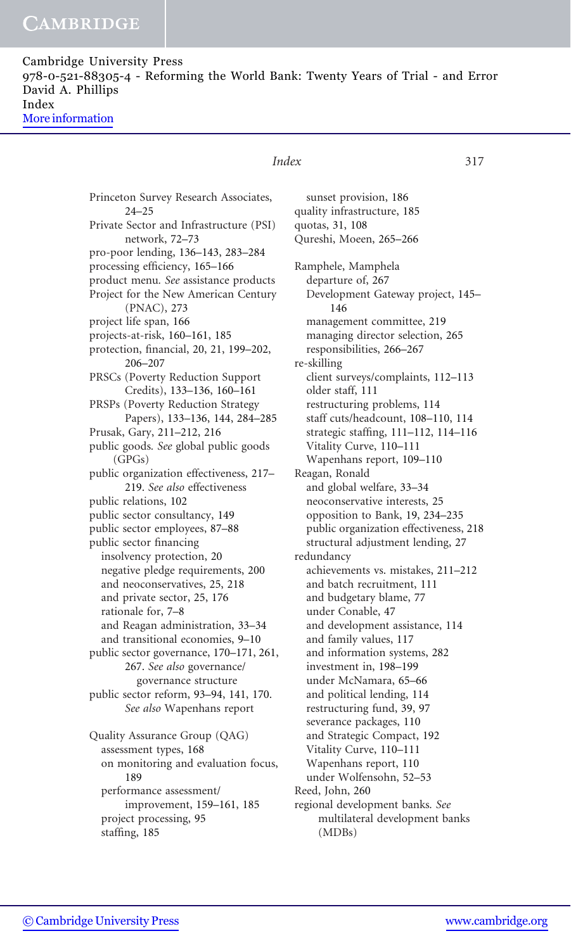| Cambridge University Press                                                      |  |
|---------------------------------------------------------------------------------|--|
| 978-0-521-88305-4 - Reforming the World Bank: Twenty Years of Trial - and Error |  |
| David A. Phillips                                                               |  |
| Index                                                                           |  |
| More information                                                                |  |
|                                                                                 |  |

Princeton Survey Research Associates, 24–25 Private Sector and Infrastructure (PSI) network, 72–73 pro-poor lending, 136–143, 283–284 processing efficiency, 165–166 product menu. See assistance products Project for the New American Century (PNAC), 273 project life span, 166 projects-at-risk, 160–161, 185 protection, financial, 20, 21, 199–202, 206–207 PRSCs (Poverty Reduction Support Credits), 133–136, 160–161 PRSPs (Poverty Reduction Strategy Papers), 133–136, 144, 284–285 Prusak, Gary, 211–212, 216 public goods. See global public goods  $(GPGs)$ public organization effectiveness, 217– 219. See also effectiveness public relations, 102 public sector consultancy, 149 public sector employees, 87–88 public sector financing insolvency protection, 20 negative pledge requirements, 200 and neoconservatives, 25, 218 and private sector, 25, 176 rationale for, 7–8 and Reagan administration, 33–34 and transitional economies, 9–10 public sector governance, 170–171, 261, 267. See also governance/ governance structure public sector reform, 93–94, 141, 170. See also Wapenhans report Quality Assurance Group (QAG) assessment types, 168 on monitoring and evaluation focus, 189 performance assessment/

## improvement, 159–161, 185 project processing, 95 staffing, 185

### Index 317

sunset provision, 186 quality infrastructure, 185 quotas, 31, 108 Qureshi, Moeen, 265–266 Ramphele, Mamphela departure of, 267 Development Gateway project, 145– 146 management committee, 219 managing director selection, 265 responsibilities, 266–267 re-skilling client surveys/complaints, 112–113 older staff, 111 restructuring problems, 114 staff cuts/headcount, 108–110, 114 strategic staffing, 111–112, 114–116 Vitality Curve, 110–111 Wapenhans report, 109–110 Reagan, Ronald and global welfare, 33–34 neoconservative interests, 25 opposition to Bank, 19, 234–235 public organization effectiveness, 218 structural adjustment lending, 27 redundancy achievements vs. mistakes, 211–212 and batch recruitment, 111 and budgetary blame, 77 under Conable, 47 and development assistance, 114 and family values, 117 and information systems, 282 investment in, 198–199 under McNamara, 65–66 and political lending, 114 restructuring fund, 39, 97 severance packages, 110 and Strategic Compact, 192 Vitality Curve, 110–111 Wapenhans report, 110 under Wolfensohn, 52–53 Reed, John, 260 regional development banks. See multilateral development banks (MDBs)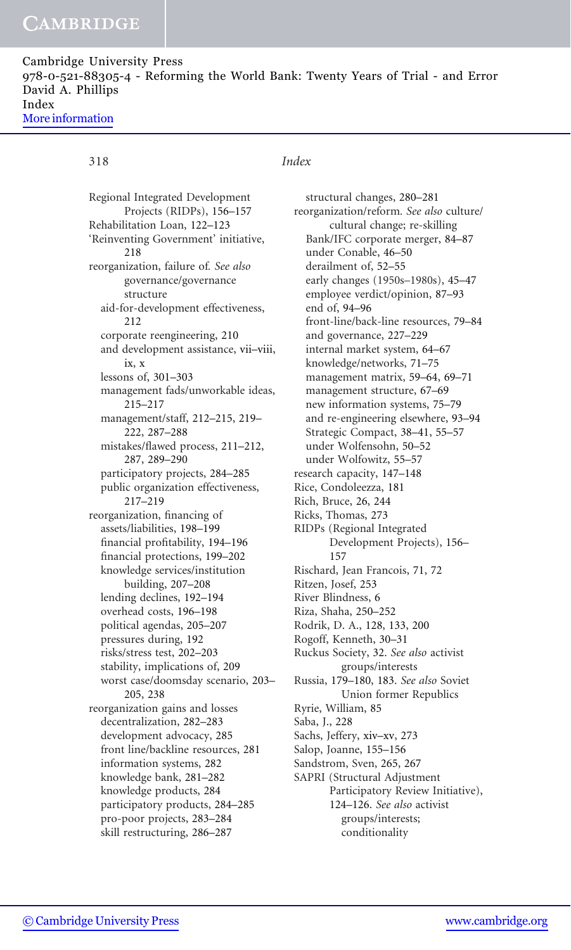Cambridge University Press 978-0-521-88305-4 - Reforming the World Bank: Twenty Years of Trial - and Error David A. Phillips Index [More information](http://www.cambridge.org/9780521883054)

## 318 Index

Regional Integrated Development Projects (RIDPs), 156–157 Rehabilitation Loan, 122–123 'Reinventing Government' initiative, 218 reorganization, failure of. See also governance/governance structure aid-for-development effectiveness, 212 corporate reengineering, 210 and development assistance, vii–viii, ix, x lessons of, 301–303 management fads/unworkable ideas, 215–217 management/staff, 212–215, 219– 222, 287–288 mistakes/flawed process, 211–212, 287, 289–290 participatory projects, 284–285 public organization effectiveness, 217–219 reorganization, financing of assets/liabilities, 198–199 financial profitability, 194–196 financial protections, 199–202 knowledge services/institution building, 207–208 lending declines, 192–194 overhead costs, 196–198 political agendas, 205–207 pressures during, 192 risks/stress test, 202–203 stability, implications of, 209 worst case/doomsday scenario, 203– 205, 238 reorganization gains and losses decentralization, 282–283 development advocacy, 285 front line/backline resources, 281 information systems, 282 knowledge bank, 281–282 knowledge products, 284 participatory products, 284–285 pro-poor projects, 283–284 skill restructuring, 286–287

structural changes, 280–281 reorganization/reform. See also culture/ cultural change; re-skilling Bank/IFC corporate merger, 84–87 under Conable, 46–50 derailment of, 52–55 early changes (1950s–1980s), 45–47 employee verdict/opinion, 87–93 end of, 94–96 front-line/back-line resources, 79–84 and governance, 227–229 internal market system, 64–67 knowledge/networks, 71–75 management matrix, 59–64, 69–71 management structure, 67–69 new information systems, 75–79 and re-engineering elsewhere, 93–94 Strategic Compact, 38–41, 55–57 under Wolfensohn, 50–52 under Wolfowitz, 55–57 research capacity, 147–148 Rice, Condoleezza, 181 Rich, Bruce, 26, 244 Ricks, Thomas, 273 RIDPs (Regional Integrated Development Projects), 156– 157 Rischard, Jean Francois, 71, 72 Ritzen, Josef, 253 River Blindness, 6 Riza, Shaha, 250–252 Rodrik, D. A., 128, 133, 200 Rogoff, Kenneth, 30–31 Ruckus Society, 32. See also activist groups/interests Russia, 179–180, 183. See also Soviet Union former Republics Ryrie, William, 85 Saba, J., 228 Sachs, Jeffery, xiv–xv, 273 Salop, Joanne, 155–156 Sandstrom, Sven, 265, 267 SAPRI (Structural Adjustment Participatory Review Initiative), 124–126. See also activist groups/interests; conditionality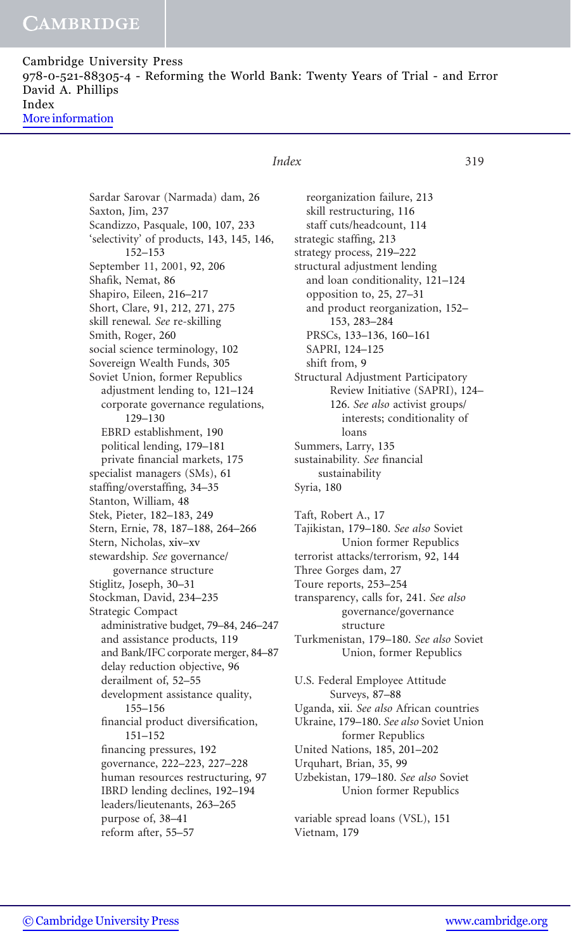Cambridge University Press 978-0-521-88305-4 - Reforming the World Bank: Twenty Years of Trial - and Error David A. Phillips Index [More information](http://www.cambridge.org/9780521883054)

## Index 319

Sardar Sarovar (Narmada) dam, 26 Saxton, Jim, 237 Scandizzo, Pasquale, 100, 107, 233 'selectivity' of products, 143, 145, 146, 152–153 September 11, 2001, 92, 206 Shafik, Nemat, 86 Shapiro, Eileen, 216–217 Short, Clare, 91, 212, 271, 275 skill renewal. See re-skilling Smith, Roger, 260 social science terminology, 102 Sovereign Wealth Funds, 305 Soviet Union, former Republics adjustment lending to, 121–124 corporate governance regulations, 129–130 EBRD establishment, 190 political lending, 179–181 private financial markets, 175 specialist managers (SMs), 61 staffing/overstaffing, 34–35 Stanton, William, 48 Stek, Pieter, 182–183, 249 Stern, Ernie, 78, 187–188, 264–266 Stern, Nicholas, xiv–xv stewardship. See governance/ governance structure Stiglitz, Joseph, 30–31 Stockman, David, 234–235 Strategic Compact administrative budget, 79–84, 246–247 and assistance products, 119 and Bank/IFC corporate merger, 84–87 delay reduction objective, 96 derailment of, 52–55 development assistance quality, 155–156 financial product diversification, 151–152 financing pressures, 192 governance, 222–223, 227–228 human resources restructuring, 97 IBRD lending declines, 192–194 leaders/lieutenants, 263–265 purpose of, 38–41

reorganization failure, 213 skill restructuring, 116 staff cuts/headcount, 114 strategic staffing, 213 strategy process, 219–222 structural adjustment lending and loan conditionality, 121–124 opposition to, 25, 27–31 and product reorganization, 152– 153, 283–284 PRSCs, 133–136, 160–161 SAPRI, 124–125 shift from, 9 Structural Adjustment Participatory Review Initiative (SAPRI), 124– 126. See also activist groups/ interests; conditionality of loans Summers, Larry, 135 sustainability. See financial sustainability Syria, 180 Taft, Robert A., 17 Tajikistan, 179–180. See also Soviet Union former Republics terrorist attacks/terrorism, 92, 144 Three Gorges dam, 27 Toure reports, 253–254 transparency, calls for, 241. See also governance/governance structure Turkmenistan, 179–180. See also Soviet Union, former Republics U.S. Federal Employee Attitude Surveys, 87–88 Uganda, xii. See also African countries Ukraine, 179–180. See also Soviet Union former Republics

United Nations, 185, 201–202

Urquhart, Brian, 35, 99

Uzbekistan, 179–180. See also Soviet Union former Republics

variable spread loans (VSL), 151 Vietnam, 179

reform after, 55–57